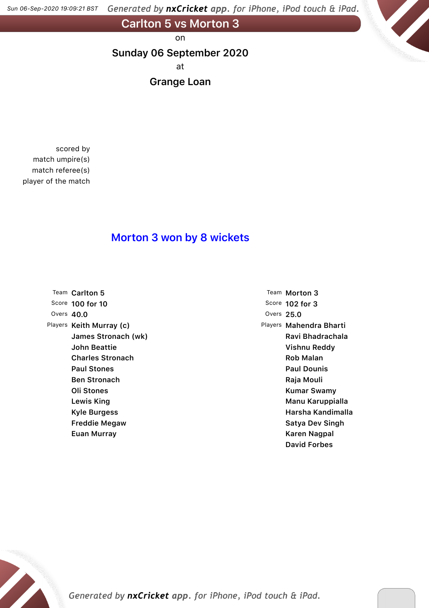Generated by nxCricket app. for iPhone, iPod touch & iPad. *Sun 06-Sep-2020 19-09-21 BST*

**Carlton 5 vs Morton 3**

on

**Sunday 06 September 2020**

at

**Grange Loan**

scored by match umpire(s) match referee(s) player of the match

### **Morton 3 won by 8 wickets**

Team **Carlton 5** Score **100 for 10** Overs **40.0** Players **Keith Murray (c) James Stronach (wk) John Beattie Charles Stronach Paul Stones Ben Stronach Oli Stones Lewis King Kyle Burgess Freddie Megaw Euan Murray**

Team **Morton 3** Score **102 for 3** Overs **25.0** Players **Mahendra Bharti Ravi Bhadrachala Vishnu Reddy Rob Malan Paul Dounis Raja Mouli Kumar Swamy Manu Karuppialla Harsha Kandimalla Satya Dev Singh Karen Nagpal David Forbes**

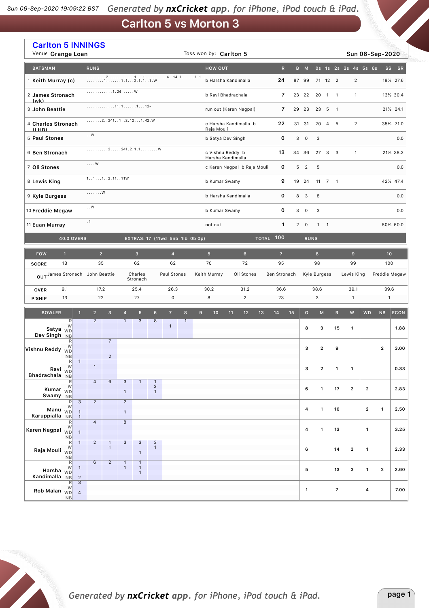# **Carlton 5 vs Morton 3**

| <b>Carlton 5 INNINGS</b><br>Venue Grange Loan     |                                                                       |                                  |                |                              |                                |                                                                      |                                           |                     |              |                                  | Toss won by: Carlton 5                           |                |                |              |                |    |                         |                          |                      |                |                |                      | Sun 06-Sep-2020         |                   |
|---------------------------------------------------|-----------------------------------------------------------------------|----------------------------------|----------------|------------------------------|--------------------------------|----------------------------------------------------------------------|-------------------------------------------|---------------------|--------------|----------------------------------|--------------------------------------------------|----------------|----------------|--------------|----------------|----|-------------------------|--------------------------|----------------------|----------------|----------------|----------------------|-------------------------|-------------------|
| <b>BATSMAN</b>                                    |                                                                       |                                  | <b>RUNS</b>    |                              |                                |                                                                      |                                           |                     |              |                                  | <b>HOW OUT</b>                                   |                |                |              | $\mathsf{R}$   |    | B M                     |                          |                      |                |                | 0s 1s 2s 3s 4s 5s 6s |                         | SS -<br><b>SR</b> |
| 1 Keith Murray (c)                                |                                                                       |                                  |                |                              |                                |                                                                      |                                           |                     |              | 24<br>87 99                      |                                                  |                |                |              |                |    |                         |                          | 71 12 2              |                | $\overline{2}$ |                      |                         | 18% 27.6          |
| 2 James Stronach                                  |                                                                       |                                  |                | . 1 . 24. W                  |                                |                                                                      |                                           |                     |              | 7<br>b Ravi Bhadrachala<br>23 22 |                                                  |                |                |              |                |    |                         | 20                       | $\overline{1}$       | $\overline{1}$ | $\mathbf{1}$   |                      |                         | 13% 30.4          |
| (wk)<br>3 John Beattie                            |                                                                       |                                  |                |                              |                                |                                                                      |                                           |                     |              |                                  | run out (Karen Nagpal)<br>7<br>29 23             |                |                |              |                |    |                         |                          | 23<br>5              | $\overline{1}$ |                |                      |                         | 21% 24.1          |
| 4 Charles Stronach                                |                                                                       |                                  |                |                              |                                | $\ldots \ldots 2 \ldots 241 \ldots 1 \ldots 2.12 \ldots 1.42 \ldots$ |                                           |                     |              |                                  | c Harsha Kandimalla b<br>22<br>31 31             |                |                |              |                |    |                         | 20                       | $\overline{4}$       | 5              | $\overline{2}$ |                      |                         | 35% 71.0          |
| $(1)$ HR)<br>5 Paul Stones                        |                                                                       |                                  | $\ldots W$     |                              |                                |                                                                      |                                           |                     |              |                                  | Raja Mouli<br>b Satya Dev Singh                  |                |                |              | 0              | 3  | $\mathsf{O}$            | 3                        |                      |                |                |                      |                         | 0.0               |
| 6 Ben Stronach                                    |                                                                       |                                  |                |                              |                                | . 2 241 . 2 . 1 . 1 W                                                |                                           |                     |              |                                  | c Vishnu Reddy b                                 |                |                |              | 13             |    | 34 36                   |                          | 27 3 3               |                | $\mathbf{1}$   |                      |                         | 21% 38.2          |
| 7 Oli Stones                                      |                                                                       |                                  | $\ldots$ W     |                              |                                |                                                                      |                                           |                     |              |                                  | Harsha Kandimalla<br>c Karen Nagpal b Raja Mouli |                |                |              | 0              | 5  | $\overline{\mathbf{2}}$ | 5                        |                      |                |                |                      |                         | 0.0               |
| 8 Lewis King                                      |                                                                       |                                  |                | 1. .1.1. .2.11. .11W         |                                |                                                                      |                                           |                     |              |                                  | b Kumar Swamy                                    |                |                |              | 9              |    | 19 24                   |                          | $11 \quad 7 \quad 1$ |                |                |                      |                         | 42% 47.4          |
| 9 Kyle Burgess                                    |                                                                       |                                  | . W            |                              |                                |                                                                      |                                           |                     |              | b Harsha Kandimalla              | 8                                                | 3              | 8              |              |                |    |                         |                          | 0.0                  |                |                |                      |                         |                   |
| $\ldots$ W<br>10 Freddie Megaw                    |                                                                       |                                  |                |                              |                                |                                                                      | 0<br>b Kumar Swamy                        |                     |              |                                  |                                                  |                |                |              |                |    |                         | 3                        |                      |                |                |                      |                         | 0.0               |
| 11 Euan Murray                                    |                                                                       |                                  | .1             |                              |                                |                                                                      |                                           |                     |              | 1<br>$\overline{2}$<br>not out   |                                                  |                |                |              |                |    | $\mathbf{1}$            | $\overline{\phantom{0}}$ |                      |                |                |                      | 50% 50.0                |                   |
| <b>40.0 OVERS</b>                                 | EXTRAS: 17 (11wd 5nb 1lb 0b 0p)                                       |                                  |                |                              | <b>TOTAL 100</b>               |                                                                      |                                           | <b>RUNS</b>         |              |                                  |                                                  |                |                |              |                |    |                         |                          |                      |                |                |                      |                         |                   |
| <b>FOW</b>                                        | $\mathbf{1}$                                                          |                                  | $\overline{2}$ |                              |                                | $\mathbf{3}$                                                         |                                           | $\overline{4}$      |              |                                  | 5 <sup>5</sup>                                   |                | $6\phantom{a}$ |              | $\overline{7}$ |    |                         | $\bf{8}$                 |                      |                | $\mathbf{9}$   |                      | 10                      |                   |
| <b>SCORE</b>                                      | 13                                                                    |                                  |                | 35<br>62<br>62               |                                |                                                                      |                                           |                     |              | 70                               |                                                  | 72             |                | 95           |                |    | 98                      |                          |                      | 99             |                | 100                  |                         |                   |
|                                                   | OUT James Stronach John Beattie<br>Charles<br>Paul Stones<br>Stronach |                                  |                |                              |                                |                                                                      |                                           |                     |              | Keith Murray                     |                                                  | Oli Stones     |                | Ben Stronach |                |    | Kyle Burgess            |                          |                      | Lewis King     |                |                      | Freddie Megaw           |                   |
| <b>OVER</b>                                       | 9.1                                                                   |                                  | 17.2           |                              |                                | 25.4                                                                 |                                           | 26.3                |              |                                  | 30.2<br>31.2                                     |                |                |              | 36.6           |    |                         | 38.6                     |                      |                | 39.1           |                      | 39.6                    |                   |
| P'SHIP                                            | 13                                                                    |                                  | 22             |                              |                                | 27                                                                   |                                           | $\mathsf{O}\xspace$ |              |                                  | 8                                                | $\overline{2}$ |                |              | 23             |    |                         | 3                        |                      |                | $\mathbf{1}$   |                      | $\mathbf{1}$            |                   |
| <b>BOWLER</b>                                     |                                                                       | $\mathbf{1}$                     | $\overline{2}$ | $\overline{3}$               | $\overline{4}$                 | 5 <sup>5</sup>                                                       | $6\phantom{1}$                            | $\overline{7}$      | 8            | $\overline{9}$                   | 10                                               | 11             | 12             | 13           | 14             | 15 | $\mathbf{o}$            | M                        |                      | ${\sf R}$      | ${\mathsf W}$  | <b>WD</b>            | NB                      | <b>ECON</b>       |
| Satya $\overline{WD}$<br>Dev Singh                | R<br>W<br>NB                                                          |                                  | $\overline{2}$ |                              | $\mathbf{1}$                   | 3                                                                    | 8                                         | $\mathbf{1}$        | $\mathbf{1}$ |                                  |                                                  |                |                |              |                |    | 8                       | з                        |                      | 15             | $\mathbf{1}$   |                      |                         | 1.88              |
| Vishnu Reddy WD                                   | R<br>W                                                                |                                  |                | $\overline{7}$               |                                |                                                                      |                                           |                     |              |                                  |                                                  |                |                |              |                |    | 3                       | $\overline{\mathbf{c}}$  |                      | 9              |                |                      | $\overline{2}$          | 3.00              |
|                                                   | <b>NB</b><br>R<br>Ravi $W$                                            | $\mathbf{1}$                     | $\mathbf{1}$   | $\overline{2}$               |                                |                                                                      |                                           |                     |              |                                  |                                                  |                |                |              |                |    | 3                       | $\mathbf 2$              |                      | $\mathbf{1}$   | $\mathbf{1}$   |                      |                         | 0.33              |
| Bhadrachala NB                                    | R                                                                     |                                  | $\overline{a}$ | $\,6\,$                      | $\mathbf{3}$                   | $\mathbf{1}$                                                         | $\mathbf{1}$                              |                     |              |                                  |                                                  |                |                |              |                |    |                         |                          |                      |                |                |                      |                         |                   |
| Kumar <sub>WD</sub><br>Swamy NB                   | W                                                                     |                                  |                |                              | $\mathbf{1}$                   |                                                                      | $\sqrt{2}$<br>$\mathbf{1}$                |                     |              |                                  |                                                  |                |                |              |                |    | 6                       | $\mathbf{1}$             |                      | 17             | $\overline{2}$ | $\mathbf{2}$         |                         | 2.83              |
| Manu $\overset{\cdots}{\text{WD}}$                | R<br>W                                                                | 3                                | $\overline{2}$ |                              | $\overline{2}$<br>$\mathbf{1}$ |                                                                      |                                           |                     |              |                                  |                                                  |                |                |              |                |    | 4                       | $\mathbf{1}$             |                      | 10             |                | $\mathbf{2}$         | $\mathbf{1}$            | 2.50              |
| Karuppialla NB                                    | $\mathsf{R}$                                                          | 1                                | $\overline{4}$ |                              | $\overline{8}$                 |                                                                      |                                           |                     |              |                                  |                                                  |                |                |              |                |    |                         |                          |                      |                |                |                      |                         |                   |
| Karen Nagpal $\sqrt[11]{D}$                       | W<br>NB                                                               | $\mathbf{1}$                     |                |                              |                                |                                                                      |                                           |                     |              |                                  |                                                  |                |                |              |                |    | 4                       | $\mathbf{1}$             |                      | 13             |                | $\mathbf{1}$         |                         | 3.25              |
| Raja Mouli <sub>WD</sub>                          | R<br>W<br>NB                                                          | $\mathbf{1}$                     | $\overline{c}$ | $\mathbf{1}$<br>$\mathbf{1}$ | $\mathbf{3}$                   | $\sqrt{3}$<br>$\mathbf{1}$                                           | $\ensuremath{\mathsf{3}}$<br>$\mathbf{1}$ |                     |              |                                  |                                                  |                |                |              |                |    | 6                       |                          |                      | 14             | $\overline{2}$ | $\mathbf{1}$         |                         | 2.33              |
| Harsha $\overset{\cdots}{W\Box}$<br>Kandimalla NB | $\mathbb{R}$<br>W                                                     | $\mathbf{1}$<br>$\overline{2}$   | 6              | $\overline{2}$               | $\mathbf{1}$<br>$\mathbf{1}$   | $\mathbf{1}$<br>$\mathbf{1}$<br>$\mathbf{1}$                         |                                           |                     |              |                                  |                                                  |                |                |              |                |    | 5                       |                          |                      | 13             | з              | $\mathbf{1}$         | $\overline{\mathbf{2}}$ | 2.60              |
| Rob Malan $\overline{WD}$                         | $\mathsf{R}$<br>W<br>NB                                               | $\overline{3}$<br>$\overline{4}$ |                |                              |                                |                                                                      |                                           |                     |              |                                  |                                                  |                |                |              |                |    | $\mathbf{1}$            |                          |                      | $\overline{7}$ |                | 4                    |                         | 7.00              |

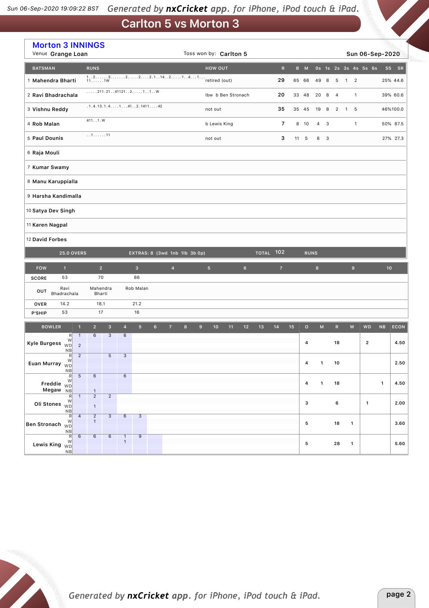#### Generated by nxCricket app. for iPhone, iPod touch & iPad. *Sun 06-Sep-2020 19-09-22 BST*

# **Carlton 5 vs Morton 3**

|                                                    | <b>Morton 3 INNINGS</b><br>Venue Grange Loan          |                                                           |                              |                               |                | Toss won by: Carlton 5 |                |                  |                    |    |                |                  |                |    |             |                    |     |                | Sun 06-Sep-2020 |                      |              |                 |             |
|----------------------------------------------------|-------------------------------------------------------|-----------------------------------------------------------|------------------------------|-------------------------------|----------------|------------------------|----------------|------------------|--------------------|----|----------------|------------------|----------------|----|-------------|--------------------|-----|----------------|-----------------|----------------------|--------------|-----------------|-------------|
| <b>BATSMAN</b>                                     | <b>RUNS</b>                                           |                                                           |                              |                               |                |                        |                |                  | <b>HOW OUT</b>     |    |                |                  | $\mathsf R$    |    | B M         |                    |     |                |                 | Os 1s 2s 3s 4s 5s 6s |              | SS              | SR          |
| 1 Mahendra Bharti                                  |                                                       |                                                           |                              |                               |                |                        |                |                  | retired (out)      |    |                |                  | 29             |    | 65 66       | 49                 | 8   | 5              | $\overline{1}$  | $\overline{2}$       |              | 25% 44.6        |             |
| 2 Ravi Bhadrachala                                 |                                                       | $\ldots$ . 211.2141121211W                                |                              |                               |                |                        |                |                  | Ibw b Ben Stronach |    |                |                  | 20             |    | 33 48       | 20                 | 8   | $\overline{4}$ |                 | $\mathbf{1}$         |              | 39% 60.6        |             |
| 3 Vishnu Reddy                                     |                                                       | $.1.4.13.1.4. \ldots 1 \ldots 41 \ldots 2.1411 \ldots 42$ |                              |                               |                |                        |                |                  | not out            |    |                |                  | 35             |    | 35 45       | 19                 | 8   | $\overline{2}$ | $\overline{1}$  | 5                    |              | 46%100.0        |             |
| 4 Rob Malan                                        | 4111.W                                                |                                                           |                              |                               |                |                        |                |                  | b Lewis King       |    |                |                  | $\overline{7}$ |    | 8 10        | 4                  | 3   |                |                 | $\mathbf{1}$         |              | 50% 87.5        |             |
| 5 Paul Dounis                                      |                                                       | 111                                                       |                              |                               |                |                        |                |                  | not out            |    |                |                  | 3              |    | 11 5        |                    | 8 3 |                |                 |                      |              | 27% 27.3        |             |
| 6 Raja Mouli                                       |                                                       |                                                           |                              |                               |                |                        |                |                  |                    |    |                |                  |                |    |             |                    |     |                |                 |                      |              |                 |             |
| 7 Kumar Swamy                                      |                                                       |                                                           |                              |                               |                |                        |                |                  |                    |    |                |                  |                |    |             |                    |     |                |                 |                      |              |                 |             |
| 8 Manu Karuppialla                                 |                                                       |                                                           |                              |                               |                |                        |                |                  |                    |    |                |                  |                |    |             |                    |     |                |                 |                      |              |                 |             |
| 9 Harsha Kandimalla                                |                                                       |                                                           |                              |                               |                |                        |                |                  |                    |    |                |                  |                |    |             |                    |     |                |                 |                      |              |                 |             |
| 10 Satya Dev Singh                                 |                                                       |                                                           |                              |                               |                |                        |                |                  |                    |    |                |                  |                |    |             |                    |     |                |                 |                      |              |                 |             |
| 11 Karen Nagpal                                    |                                                       |                                                           |                              |                               |                |                        |                |                  |                    |    |                |                  |                |    |             |                    |     |                |                 |                      |              |                 |             |
| 12 David Forbes                                    |                                                       |                                                           |                              |                               |                |                        |                |                  |                    |    |                |                  |                |    |             |                    |     |                |                 |                      |              |                 |             |
| <b>25.0 OVERS</b>                                  |                                                       |                                                           |                              | EXTRAS: 8 (3wd 1nb 1lb 3b 0p) |                |                        |                |                  |                    |    |                | <b>TOTAL 102</b> |                |    | <b>RUNS</b> |                    |     |                |                 |                      |              |                 |             |
| $\mathbf{1}$<br><b>FOW</b>                         |                                                       | $\overline{2}$                                            |                              | $\mathbf{3}$                  |                | $\overline{4}$         |                |                  | 5 <sup>5</sup>     |    | $6\phantom{.}$ |                  | $\overline{z}$ |    |             | $8\phantom{1}$     |     |                | $\mathbf 9$     |                      |              | 10 <sup>1</sup> |             |
| 53<br><b>SCORE</b>                                 |                                                       | 70                                                        |                              | 86                            |                |                        |                |                  |                    |    |                |                  |                |    |             |                    |     |                |                 |                      |              |                 |             |
| Ravi<br>OUT<br>Bhadrachala                         |                                                       | Mahendra<br>Bharti                                        |                              | Rob Malan                     |                |                        |                |                  |                    |    |                |                  |                |    |             |                    |     |                |                 |                      |              |                 |             |
| 14.2<br><b>OVER</b>                                |                                                       | 18.1                                                      |                              | 21.2                          |                |                        |                |                  |                    |    |                |                  |                |    |             |                    |     |                |                 |                      |              |                 |             |
| 53<br>P'SHIP                                       |                                                       | 17                                                        |                              | 16                            |                |                        |                |                  |                    |    |                |                  |                |    |             |                    |     |                |                 |                      |              |                 |             |
| <b>BOWLER</b><br>R                                 | 2 <sup>7</sup><br>$\overline{1}$<br>$\mathbf{1}$<br>6 | $\overline{\mathbf{3}}$<br>$\overline{3}$                 | $\overline{4}$<br>6          | 5 <sup>5</sup>                | 6 <sup>1</sup> | $\overline{7}$         | $8\phantom{1}$ | $\boldsymbol{9}$ | 10                 | 11 | 12             | 13               | 14             | 15 | $\circ$     | $\mathsf{M}% _{0}$ |     | $\mathbb{R}$   | ${\bf W}$       | <b>WD</b>            | NB           |                 | <b>ECON</b> |
| W<br><b>Kyle Burgess</b><br><b>WD</b><br><b>NB</b> | $\overline{2}$                                        |                                                           |                              |                               |                |                        |                |                  |                    |    |                |                  |                |    | 4           |                    |     | 18             |                 | $\mathbf{2}$         |              |                 | 4.50        |
| R<br>W<br>Euan Murray $\overline{w}$               | $\sqrt{2}$                                            | 5                                                         | $\mathbf{3}$                 |                               |                |                        |                |                  |                    |    |                |                  |                |    |             | $4 \quad 1$        |     | 10             |                 |                      |              |                 | 2.50        |
| NB<br>R                                            | 6<br>5                                                |                                                           | 6                            |                               |                |                        |                |                  |                    |    |                |                  |                |    |             |                    |     |                |                 |                      |              |                 |             |
| W<br>Freddie $W_D$<br>Megaw NB                     | $\mathbf{1}$                                          |                                                           |                              |                               |                |                        |                |                  |                    |    |                |                  |                |    | 4           | $\mathbf{1}$       |     | 18             |                 |                      | $\mathbf{1}$ |                 | 4.50        |
| R<br>W<br>Oli Stones $\dddot{w}$<br>NB             | $\overline{2}$<br>$\mathbf{1}$<br>$\mathbf{1}$        | $\overline{2}$                                            |                              |                               |                |                        |                |                  |                    |    |                |                  |                |    | 3           |                    |     | 6              |                 | $\mathbf{1}$         |              |                 | 2.00        |
| R<br>W<br>Ben Stronach WD                          | $\overline{2}$<br>$\overline{a}$<br>$\mathbf{1}$      | $\overline{3}$                                            | 6                            | $\overline{3}$                |                |                        |                |                  |                    |    |                |                  |                |    | 5           |                    |     | 18             | $\mathbf{1}$    |                      |              |                 | 3.60        |
| NB<br>R<br>W<br>Lewis King $\sqrt{v}$<br>NB        | 6<br>$\,6$                                            | 6                                                         | $\mathbf{1}$<br>$\mathbf{1}$ | 9                             |                |                        |                |                  |                    |    |                |                  |                |    | 5           |                    |     | 28             | $\mathbf{1}$    |                      |              |                 | 5.60        |

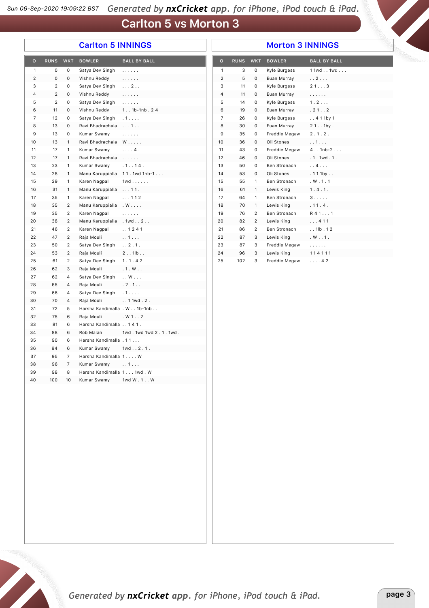## **Carlton 5 vs Morton 3**

### **Carlton 5 INNINGS**

#### **Morton 3 INNINGS**

| $\circ$        | <b>RUNS</b>    | <b>WKT</b>              | <b>BOWLER</b>                | <b>BALL BY BALL</b>                        | $\mathbf{o}$   | <b>RUNS</b> | <b>WKT</b>     | <b>BOWLER</b> | <b>BALL BY BALL</b>                        |
|----------------|----------------|-------------------------|------------------------------|--------------------------------------------|----------------|-------------|----------------|---------------|--------------------------------------------|
| 1              | 0              | 0                       | Satya Dev Singh              | .                                          | $\mathbf{1}$   | 3           | 0              | Kyle Burgess  | 1 1wd1wd                                   |
| $\overline{2}$ | 0              | 0                       | Vishnu Reddy                 | $\mathbb{Z}^2$ is a set of $\mathbb{Z}^2$  | $\sqrt{2}$     | 5           | 0              | Euan Murray   | . . 2                                      |
| 3              | $\overline{2}$ | 0                       | Satya Dev Singh              | $\cdots$ 2                                 | 3              | 11          | 0              | Kyle Burgess  | 213                                        |
| 4              | $\overline{2}$ | 0                       | Vishnu Reddy                 | $\mathbb{Z}^2$ . The set of $\mathbb{Z}^2$ | 4              | 11          | 0              | Euan Murray   | .                                          |
| 5              | $\overline{2}$ | 0                       | Satya Dev Singh              | 1.1.1.1.1                                  | 5              | 14          | 0              | Kyle Burgess  | 1.2                                        |
| 6              | 11             | 0                       | Vishnu Reddy                 | $1. . 1b-1nb. 24$                          | 6              | 19          | 0              | Euan Murray   | .21.02                                     |
| 7              | 12             | 0                       | Satya Dev Singh              | . 1                                        | $\overline{7}$ | 26          | 0              | Kyle Burgess  | . . 4 1 1 by 1                             |
| 8              | 13             | 0                       | Ravi Bhadrachala             | 1                                          | 8              | 30          | 0              | Euan Murray   | $21.1$ 1by.                                |
| 9              | 13             | 0                       | Kumar Swamy                  | $\mathbb{Z}^2$ . The set of $\mathbb{Z}^2$ | 9              | 35          | 0              | Freddie Megaw | 2.1.2.                                     |
| 10             | 13             | $\mathbf{1}$            | Ravi Bhadrachala             | $W \ldots$ .                               | 10             | 36          | 0              | Oli Stones    | . . 1                                      |
| 11             | 17             | $\mathbf{1}$            | Kumar Swamy                  | $\ldots$ 4.                                | 11             | 43          | 0              | Freddie Megaw | $4.1nb-2.$                                 |
| 12             | 17             | $\mathbf{1}$            | Ravi Bhadrachala             | $\mathbb{Z}^2$ . The set of $\mathbb{Z}^2$ | 12             | 46          | 0              | Oli Stones    | .1.1wd.1.                                  |
| 13             | 23             | $\mathbf{1}$            | Kumar Swamy                  | .1.14.                                     | 13             | 50          | 0              | Ben Stronach  | . . 4                                      |
| 14             | 28             | $\mathbf{1}$            |                              | Manu Karuppialla 11.1wd 1nb-1              | 14             | 53          | 0              | Oli Stones    | .111by                                     |
| 15             | 29             | $\mathbf{1}$            | Karen Nagpal                 | $1wd \ldots \ldots$                        | 15             | 55          | $\mathbf{1}$   | Ben Stronach  | . W. 1.1                                   |
| 16             | 31             | $\mathbf{1}$            | Manu Karuppialla             | $\ldots$ 11.                               | 16             | 61          | $\mathbf{1}$   | Lewis King    | 1.4.1.                                     |
| 17             | 35             | $\mathbf{1}$            | Karen Nagpal                 | 112                                        | 17             | 64          | $\mathbf{1}$   | Ben Stronach  | 3                                          |
| 18             | 35             | $\overline{c}$          | Manu Karuppialla             | $W \ldots$                                 | 18             | 70          | $\mathbf{1}$   | Lewis King    | .11.4.                                     |
| 19             | 35             | $\overline{2}$          | Karen Nagpal                 | $\mathbb{Z}^2$ . The set of $\mathbb{Z}^2$ | 19             | 76          | $\overline{2}$ | Ben Stronach  | $R$ 411                                    |
| 20             | 38             | $\overline{2}$          | Manu Karuppialla             | .1wd. .2.                                  | 20             | 82          | $\overline{2}$ | Lewis King    | . 411                                      |
|                | 46             | $\overline{\mathbf{c}}$ | Karen Nagpal                 | . . 1 2 4 1                                |                | 86          | $\overline{2}$ | Ben Stronach  | $. . 1$ lb $. 12$                          |
| 21<br>22       | 47             | $\overline{2}$          | Raja Mouli                   | . . 1.                                     | 21<br>22       | 87          | 3              | Lewis King    |                                            |
|                |                |                         |                              |                                            |                |             |                |               | . W 1.                                     |
| 23             | 50             | $\overline{2}$          | Satya Dev Singh              | . . 2.1.                                   | 23             | 87          | 3              | Freddie Megaw | $\mathbb{Z}^2$ . The set of $\mathbb{Z}^2$ |
| 24             | 53             | $\overline{2}$          | Raja Mouli                   | 2.11b.                                     | 24             | 96          | 3              | Lewis King    | 114111                                     |
| 25             | 61             | $\overline{2}$          | Satya Dev Singh              | 1.1.42                                     | 25             | 102         | 3              | Freddie Megaw | $\ldots$ 42                                |
| 26             | 62             | 3                       | Raja Mouli                   | .1. W.                                     |                |             |                |               |                                            |
| 27             | 62             | 4                       | Satya Dev Singh              | $\ldots$ W $\ldots$                        |                |             |                |               |                                            |
| 28             | 65             | 4                       | Raja Mouli                   | .2.1.                                      |                |             |                |               |                                            |
| 29             | 66             | 4                       | Satya Dev Singh              | .1.                                        |                |             |                |               |                                            |
| 30             | 70             | 4                       | Raja Mouli                   | . . 11wd . 2.                              |                |             |                |               |                                            |
| 31             | 72             | 5                       | Harsha Kandimalla . W 1b-1nb |                                            |                |             |                |               |                                            |
| 32             | 75             | 6                       | Raja Mouli                   | . W 1 2                                    |                |             |                |               |                                            |
| 33             | 81             | 6                       | Harsha Kandimalla 141.       |                                            |                |             |                |               |                                            |
| 34             | 88             | 6                       | Rob Malan                    | 1wd.1wd1wd2.1.1wd.                         |                |             |                |               |                                            |
| 35             | 90             | 6                       | Harsha Kandimalla . 11       |                                            |                |             |                |               |                                            |
| 36             | 94             | 6                       | Kumar Swamy                  | 1wd 2 . 1.                                 |                |             |                |               |                                            |
| 37             | 95             | 7                       | Harsha Kandimalla 1 W        |                                            |                |             |                |               |                                            |
| 38             | 96             | 7                       | Kumar Swamy                  | . . 1.                                     |                |             |                |               |                                            |
| 39             | 98             | 8                       | Harsha Kandimalla 1 1wd. W   |                                            |                |             |                |               |                                            |
| 40             | 100            | 10                      | Kumar Swamy                  | 1wd W.1W                                   |                |             |                |               |                                            |
|                |                |                         |                              |                                            |                |             |                |               |                                            |
|                |                |                         |                              |                                            |                |             |                |               |                                            |
|                |                |                         |                              |                                            |                |             |                |               |                                            |
|                |                |                         |                              |                                            |                |             |                |               |                                            |
|                |                |                         |                              |                                            |                |             |                |               |                                            |
|                |                |                         |                              |                                            |                |             |                |               |                                            |
|                |                |                         |                              |                                            |                |             |                |               |                                            |
|                |                |                         |                              |                                            |                |             |                |               |                                            |
|                |                |                         |                              |                                            |                |             |                |               |                                            |
|                |                |                         |                              |                                            |                |             |                |               |                                            |
|                |                |                         |                              |                                            |                |             |                |               |                                            |
|                |                |                         |                              |                                            |                |             |                |               |                                            |
|                |                |                         |                              |                                            |                |             |                |               |                                            |
|                |                |                         |                              |                                            |                |             |                |               |                                            |
|                |                |                         |                              |                                            |                |             |                |               |                                            |
|                |                |                         |                              |                                            |                |             |                |               |                                            |
|                |                |                         |                              |                                            |                |             |                |               |                                            |
|                |                |                         |                              |                                            |                |             |                |               |                                            |
|                |                |                         |                              |                                            |                |             |                |               |                                            |
|                |                |                         |                              |                                            |                |             |                |               |                                            |
|                |                |                         |                              |                                            |                |             |                |               |                                            |

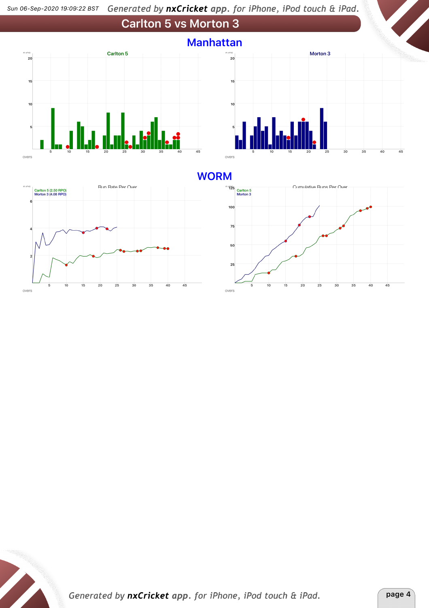